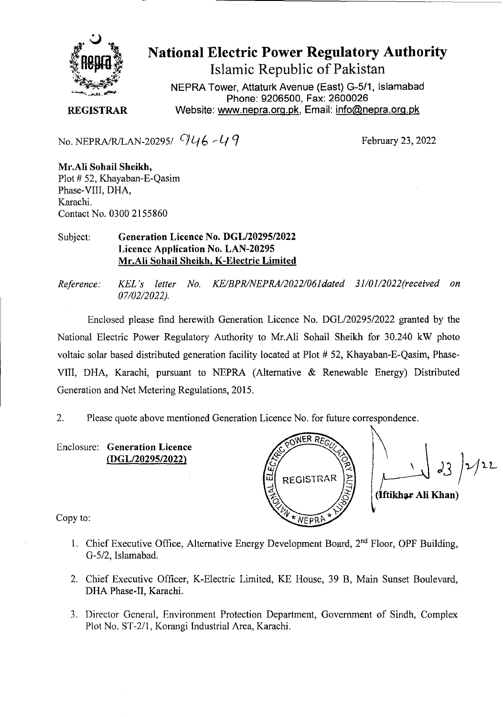

## **National Electric Power Regulatory Authority Islamic Republic of Pakistan**

NEPRA Tower, **Attaturk** Avenue (East) G-5/1, **Islamabad Phone: 9206500, Fax: 2600026 REGISTRAR** Website: www.nepra.org.pk, Email: info@nepra.org.pk

No. NEPRA/R/LAN-20295/  $946 - 49$ 

February 23, 2022

Mr.A1i Sohail Sheikh, Plot # 52, Khayaban-E-Qasim Phase-VIII, DHA, Karachi. Contact No. 0300 2155860

## Subject: **Generation Licence** No. DGL/20295/2022 Licence Application No. LAN-20295 Mr.Ali Sohail Sheikh, K-Electric Limited

*Reference.' KEL 's letter No. KE/BPR/NEPRA/2022/061dated 31/01/2022('received on 07/02/2022).* 

Enclosed please find herewith Generation Licence No. DGL/20295/2022 granted by the National Electric Power Regulatory Authority to Mr.Ali Sohail Sheikh for 30.240 kW photo voltaic solar based distributed generation facility located at Plot # 52, Khayaban-E-Qasim, Phase-VIII, DHA, Karachi, pursuant to NEPRA (Alternative & Renewable Energy) Distributed Generation and Net Metering Regulations, 2015.

2. Please quote above mentioned Generation Licence No. for future correspondence.

Enclosure: **Generation Licence**  *(DGL/2029512022)* 

*&NER REQ*  REGISTRAR (Iftikhar Ali Khan) NEpc'

Copy to:

- 1. Chief Executive Office, Alternative Energy Development Board, 2<sup>nd</sup> Floor, OPF Building, G-5/2, Islamabad.
- 2. Chief Executive Officer, K-Electric Limited, KE House, 39 B, Main Sunset Boulevard, DHA Phase-Il, Karachi.
- 3. Director General, Environment Protection Department, Government of Sindh, Complex Plot No. ST-2/l, Korangi Industrial Area, Karachi.